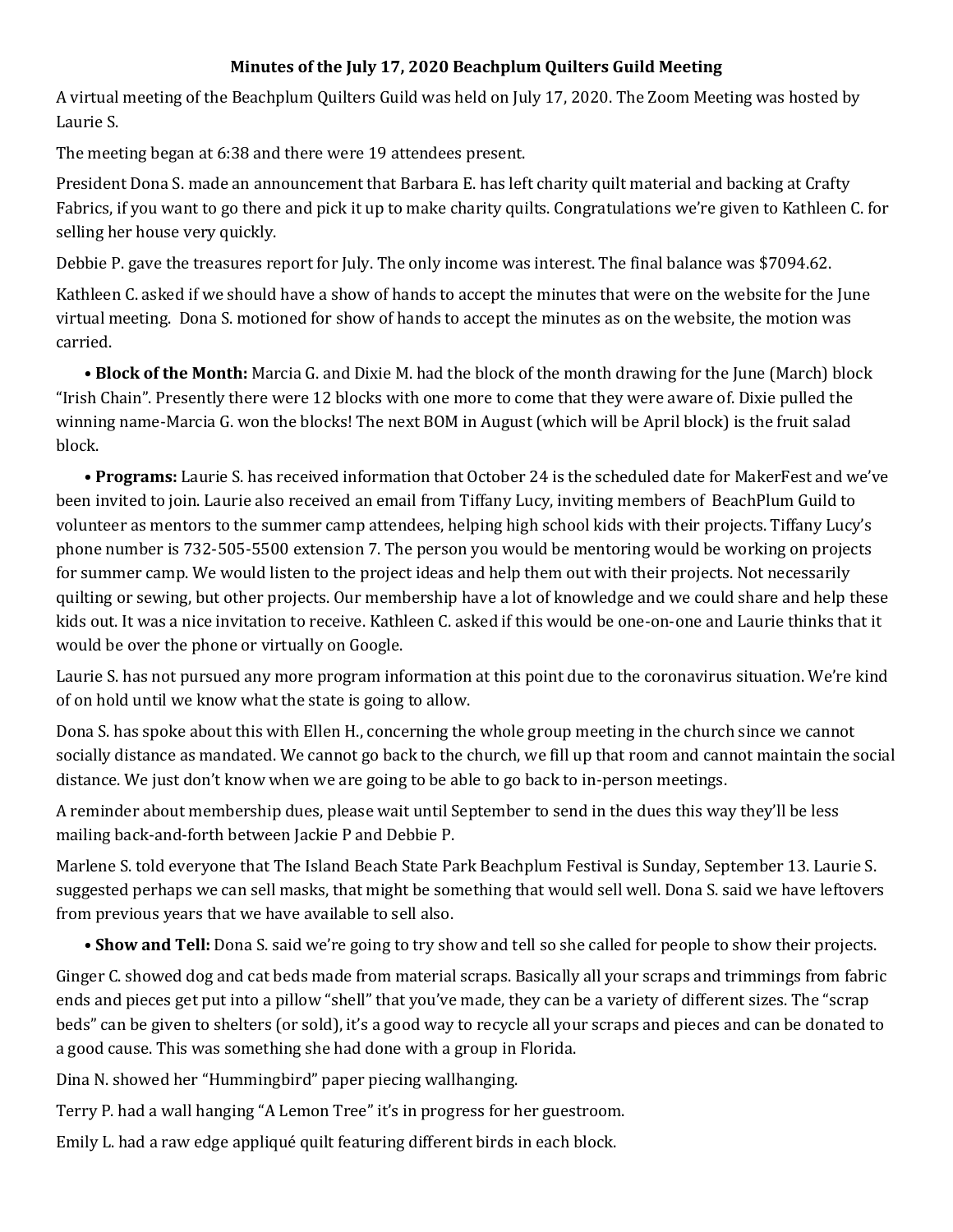## **Minutes of the July 17, 2020 Beachplum Quilters Guild Meeting**

A virtual meeting of the Beachplum Quilters Guild was held on July 17, 2020. The Zoom Meeting was hosted by Laurie S.

The meeting began at 6:38 and there were 19 attendees present.

President Dona S. made an announcement that Barbara E. has left charity quilt material and backing at Crafty Fabrics, if you want to go there and pick it up to make charity quilts. Congratulations we're given to Kathleen C. for selling her house very quickly.

Debbie P. gave the treasures report for July. The only income was interest. The final balance was \$7094.62.

Kathleen C. asked if we should have a show of hands to accept the minutes that were on the website for the June virtual meeting. Dona S. motioned for show of hands to accept the minutes as on the website, the motion was carried.

**• Block of the Month:** Marcia G. and Dixie M. had the block of the month drawing for the June (March) block "Irish Chain". Presently there were 12 blocks with one more to come that they were aware of. Dixie pulled the winning name-Marcia G. won the blocks! The next BOM in August (which will be April block) is the fruit salad block.

**• Programs:** Laurie S. has received information that October 24 is the scheduled date for MakerFest and we've been invited to join. Laurie also received an email from Tiffany Lucy, inviting members of BeachPlum Guild to volunteer as mentors to the summer camp attendees, helping high school kids with their projects. Tiffany Lucy's phone number is 732-505-5500 extension 7. The person you would be mentoring would be working on projects for summer camp. We would listen to the project ideas and help them out with their projects. Not necessarily quilting or sewing, but other projects. Our membership have a lot of knowledge and we could share and help these kids out. It was a nice invitation to receive. Kathleen C. asked if this would be one-on-one and Laurie thinks that it would be over the phone or virtually on Google.

Laurie S. has not pursued any more program information at this point due to the coronavirus situation. We're kind of on hold until we know what the state is going to allow.

Dona S. has spoke about this with Ellen H., concerning the whole group meeting in the church since we cannot socially distance as mandated. We cannot go back to the church, we fill up that room and cannot maintain the social distance. We just don't know when we are going to be able to go back to in-person meetings.

A reminder about membership dues, please wait until September to send in the dues this way they'll be less mailing back-and-forth between Jackie P and Debbie P.

Marlene S. told everyone that The Island Beach State Park Beachplum Festival is Sunday, September 13. Laurie S. suggested perhaps we can sell masks, that might be something that would sell well. Dona S. said we have leftovers from previous years that we have available to sell also.

**• Show and Tell:** Dona S. said we're going to try show and tell so she called for people to show their projects.

Ginger C. showed dog and cat beds made from material scraps. Basically all your scraps and trimmings from fabric ends and pieces get put into a pillow "shell" that you've made, they can be a variety of different sizes. The "scrap beds" can be given to shelters (or sold), it's a good way to recycle all your scraps and pieces and can be donated to a good cause. This was something she had done with a group in Florida.

Dina N. showed her "Hummingbird" paper piecing wallhanging.

Terry P. had a wall hanging "A Lemon Tree" it's in progress for her guestroom.

Emily L. had a raw edge appliqué quilt featuring different birds in each block.